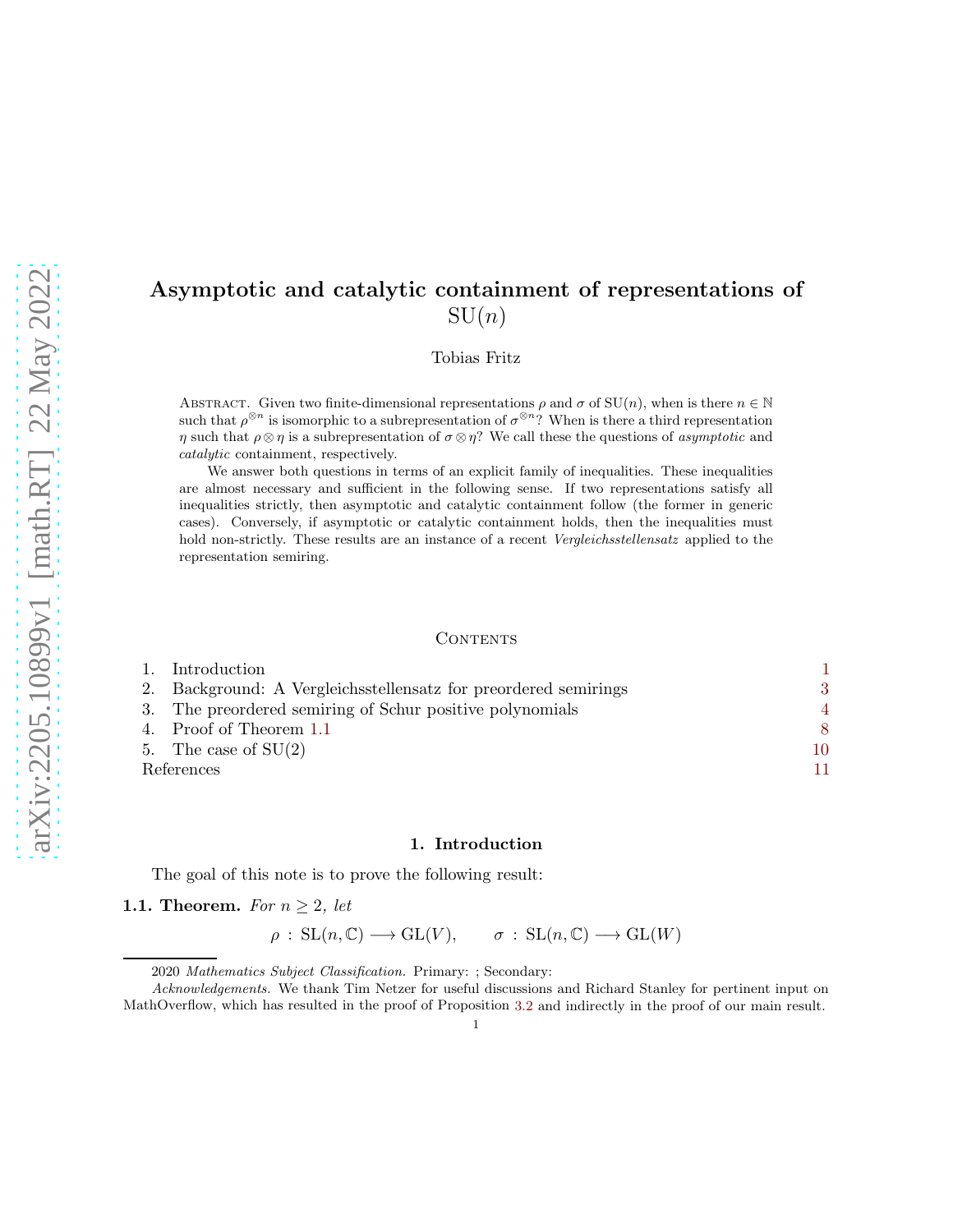# Asymptotic and catalytic containment of representations of  $SU(n)$

Tobias Fritz

ABSTRACT. Given two finite-dimensional representations  $\rho$  and  $\sigma$  of SU(n), when is there  $n \in \mathbb{N}$ such that  $\rho^{\otimes n}$  is isomorphic to a subrepresentation of  $\sigma^{\otimes n}$ ? When is there a third representation η such that  $\rho \otimes \eta$  is a subrepresentation of  $\sigma \otimes \eta$ ? We call these the questions of *asymptotic* and catalytic containment, respectively.

We answer both questions in terms of an explicit family of inequalities. These inequalities are almost necessary and sufficient in the following sense. If two representations satisfy all inequalities strictly, then asymptotic and catalytic containment follow (the former in generic cases). Conversely, if asymptotic or catalytic containment holds, then the inequalities must hold non-strictly. These results are an instance of a recent *Vergleichsstellensatz* applied to the representation semiring.

#### **CONTENTS**

|            | 1. Introduction                                                 |    |
|------------|-----------------------------------------------------------------|----|
|            | 2. Background: A Vergleichsstellensatz for preordered semirings | 3  |
|            | 3. The preordered semiring of Schur positive polynomials        | 4  |
|            | 4. Proof of Theorem 1.1                                         | 8  |
|            | 5. The case of $SU(2)$                                          | 10 |
| References |                                                                 | 11 |

### 1. Introduction

<span id="page-0-1"></span><span id="page-0-0"></span>The goal of this note is to prove the following result:

1.1. Theorem. *For*  $n \geq 2$ *, let* 

$$
\rho : SL(n, \mathbb{C}) \longrightarrow GL(V), \qquad \sigma : SL(n, \mathbb{C}) \longrightarrow GL(W)
$$

<sup>2020</sup> Mathematics Subject Classification. Primary: ; Secondary:

Acknowledgements. We thank Tim Netzer for useful discussions and Richard Stanley for pertinent input on MathOverflow, which has resulted in the proof of Proposition [3.2](#page-4-0) and indirectly in the proof of our main result.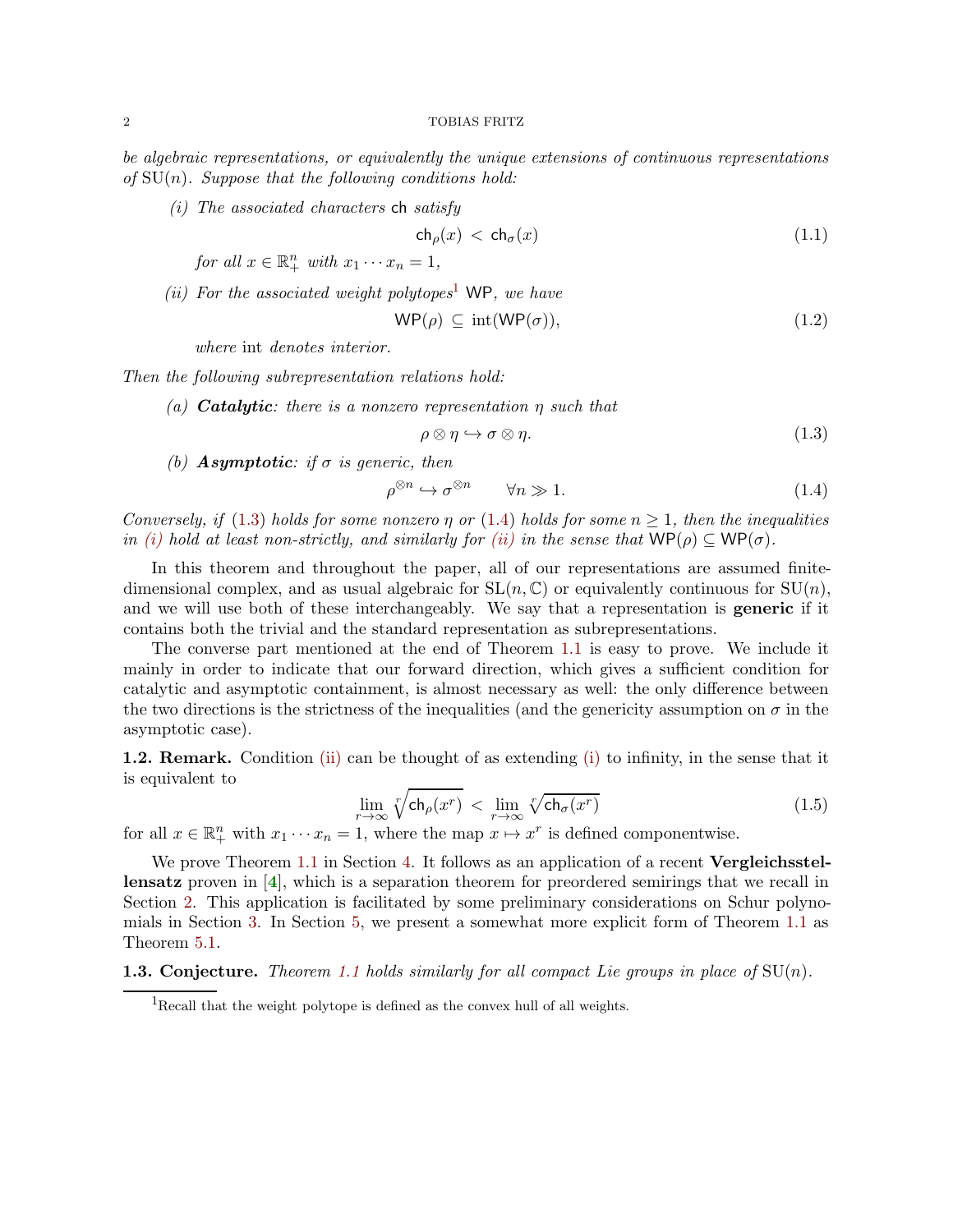<span id="page-1-6"></span><span id="page-1-3"></span>*be algebraic representations, or equivalently the unique extensions of continuous representations of* SU(n)*. Suppose that the following conditions hold:*

*(i) The associated characters* ch *satisfy*

<span id="page-1-5"></span>
$$
\mathsf{ch}_{\rho}(x) < \mathsf{ch}_{\sigma}(x) \tag{1.1}
$$

*for all*  $x \in \mathbb{R}^n_+$  *with*  $x_1 \cdots x_n = 1$ *,* 

<span id="page-1-4"></span>*(ii) For the associated weight polytopes*[1](#page-1-0) WP*, we have*

$$
WP(\rho) \subseteq int(WP(\sigma)), \tag{1.2}
$$

*where* int *denotes interior.*

*Then the following subrepresentation relations hold:*

*(a)* Catalytic*: there is a nonzero representation* η *such that*

<span id="page-1-1"></span>
$$
\rho \otimes \eta \hookrightarrow \sigma \otimes \eta. \tag{1.3}
$$

*(b)* **Asymptotic:** if  $\sigma$  *is generic, then* 

<span id="page-1-2"></span>
$$
\rho^{\otimes n} \hookrightarrow \sigma^{\otimes n} \qquad \forall n \gg 1. \tag{1.4}
$$

*Conversely, if* [\(1.3\)](#page-1-1) *holds for some nonzero*  $\eta$  *or* [\(1.4\)](#page-1-2) *holds for some*  $n \geq 1$ *, then the inequalities in [\(i\)](#page-1-3) hold at least non-strictly, and similarly for <i>[\(ii\)](#page-1-4) in the sense that*  $WP(\rho) \subseteq WP(\sigma)$ *.* 

In this theorem and throughout the paper, all of our representations are assumed finitedimensional complex, and as usual algebraic for  $SL(n, \mathbb{C})$  or equivalently continuous for  $SU(n)$ , and we will use both of these interchangeably. We say that a representation is **generic** if it contains both the trivial and the standard representation as subrepresentations.

The converse part mentioned at the end of Theorem [1.1](#page-0-1) is easy to prove. We include it mainly in order to indicate that our forward direction, which gives a sufficient condition for catalytic and asymptotic containment, is almost necessary as well: the only difference between the two directions is the strictness of the inequalities (and the genericity assumption on  $\sigma$  in the asymptotic case).

1.2. Remark. Condition [\(ii\)](#page-1-4) can be thought of as extending [\(i\)](#page-1-3) to infinity, in the sense that it is equivalent to

$$
\lim_{r \to \infty} \sqrt[r]{\mathsf{ch}_{\rho}(x^r)} < \lim_{r \to \infty} \sqrt[r]{\mathsf{ch}_{\sigma}(x^r)} \tag{1.5}
$$

for all  $x \in \mathbb{R}^n_+$  with  $x_1 \cdots x_n = 1$ , where the map  $x \mapsto x^r$  is defined componentwise.

We prove Theorem [1.1](#page-0-1) in Section [4.](#page-7-0) It follows as an application of a recent **Vergleichsstel**lensatz proven in [[4](#page-10-1)], which is a separation theorem for preordered semirings that we recall in Section [2.](#page-2-0) This application is facilitated by some preliminary considerations on Schur polynomials in Section [3.](#page-3-0) In Section [5,](#page-9-0) we present a somewhat more explicit form of Theorem [1.1](#page-0-1) as Theorem [5.1.](#page-9-1)

**1.3. Conjecture.** *Theorem [1.1](#page-0-1) holds similarly for all compact Lie groups in place of*  $SU(n)$ *.* 

<span id="page-1-0"></span><sup>&</sup>lt;sup>1</sup>Recall that the weight polytope is defined as the convex hull of all weights.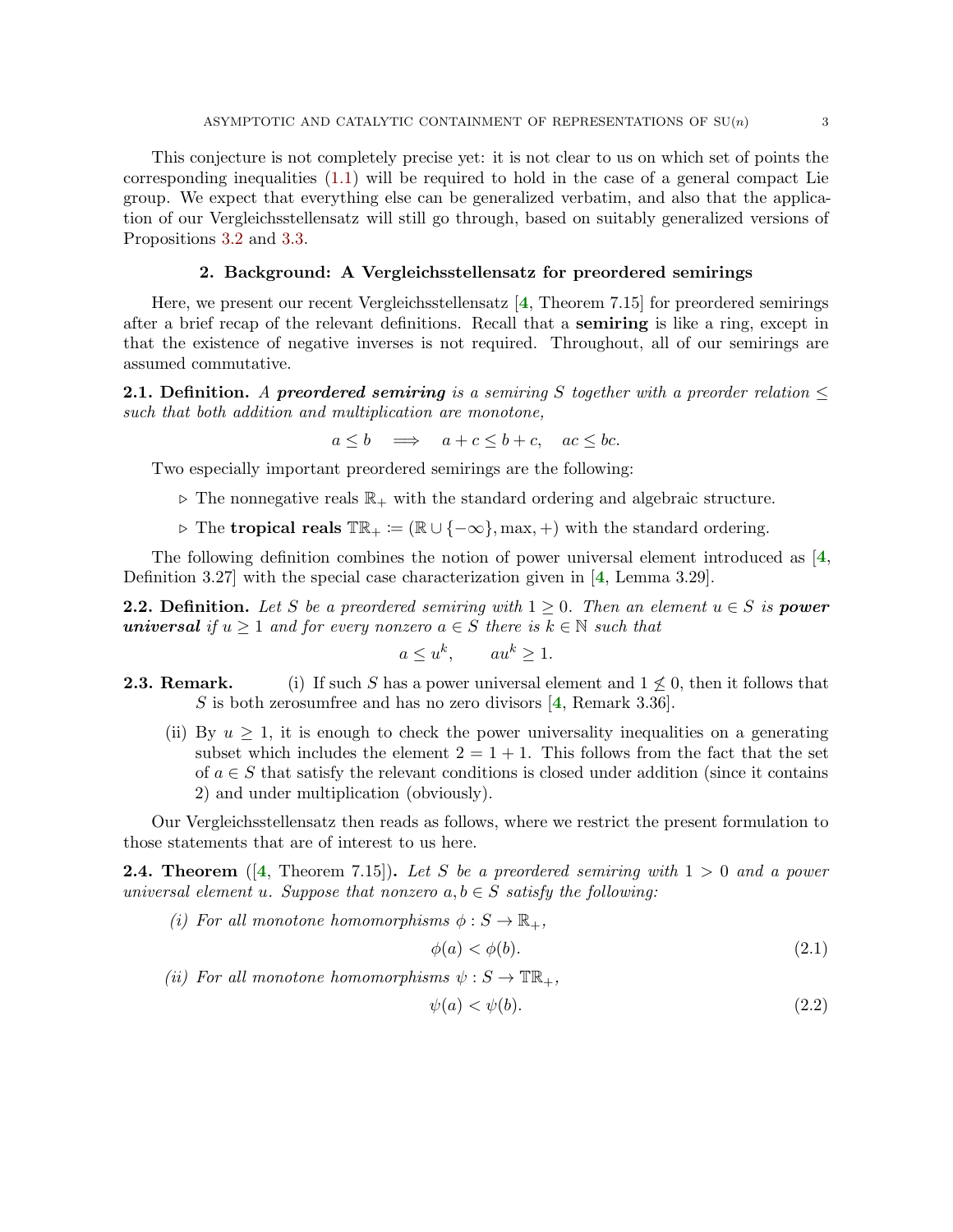<span id="page-2-5"></span>This conjecture is not completely precise yet: it is not clear to us on which set of points the corresponding inequalities [\(1.1\)](#page-1-5) will be required to hold in the case of a general compact Lie group. We expect that everything else can be generalized verbatim, and also that the application of our Vergleichsstellensatz will still go through, based on suitably generalized versions of Propositions [3.2](#page-4-0) and [3.3.](#page-4-1)

## 2. Background: A Vergleichsstellensatz for preordered semirings

<span id="page-2-0"></span>Here, we present our recent Vergleichsstellensatz  $\left[4, \text{Theorem 7.15}\right]$  $\left[4, \text{Theorem 7.15}\right]$  $\left[4, \text{Theorem 7.15}\right]$  for preordered semirings after a brief recap of the relevant definitions. Recall that a semiring is like a ring, except in that the existence of negative inverses is not required. Throughout, all of our semirings are assumed commutative.

**2.1. Definition.** A preordered semiring is a semiring S together with a preorder relation  $\leq$ *such that both addition and multiplication are monotone,*

$$
a \le b \quad \Longrightarrow \quad a + c \le b + c, \quad ac \le bc.
$$

Two especially important preordered semirings are the following:

- $\triangleright$  The nonnegative reals  $\mathbb{R}_+$  with the standard ordering and algebraic structure.
- $\rho$  The tropical reals  $\mathbb{TR}_+ := (\mathbb{R} \cup \{-\infty\}, \max, +)$  with the standard ordering.

The following definition combines the notion of power universal element introduced as [[4](#page-10-1), Definition 3.27] with the special case characterization given in [[4](#page-10-1), Lemma 3.29].

**2.2. Definition.** Let S be a preordered semiring with  $1 \geq 0$ . Then an element  $u \in S$  is **power** universal *if*  $u \geq 1$  *and for every nonzero*  $a \in S$  *there is*  $k \in \mathbb{N}$  *such that* 

$$
a \le u^k, \qquad au^k \ge 1.
$$

- <span id="page-2-4"></span>**2.3. Remark.** (i) If such S has a power universal element and  $1 \nleq 0$ , then it follows that S is both zerosumfree and has no zero divisors  $[4,$  $[4,$  $[4,$  Remark 3.36].
	- (ii) By  $u \geq 1$ , it is enough to check the power universality inequalities on a generating subset which includes the element  $2 = 1 + 1$ . This follows from the fact that the set of  $a \in S$  that satisfy the relevant conditions is closed under addition (since it contains 2) and under multiplication (obviously).

<span id="page-2-3"></span>Our Vergleichsstellensatz then reads as follows, where we restrict the present formulation to those statements that are of interest to us here.

2.4. Theorem ([[4](#page-10-1), Theorem 7.15]). *Let* S *be a preordered semiring with* 1 > 0 *and a power universal element* u. Suppose that nonzero  $a, b \in S$  satisfy the following:

- *(i)* For all monotone homomorphisms  $\phi : S \to \mathbb{R}_+$ ,  $\phi(a) < \phi(b).$  (2.1)
- *(ii)* For all monotone homomorphisms  $\psi : S \to \mathbb{TR}_+$ ,

<span id="page-2-2"></span><span id="page-2-1"></span>
$$
\psi(a) < \psi(b). \tag{2.2}
$$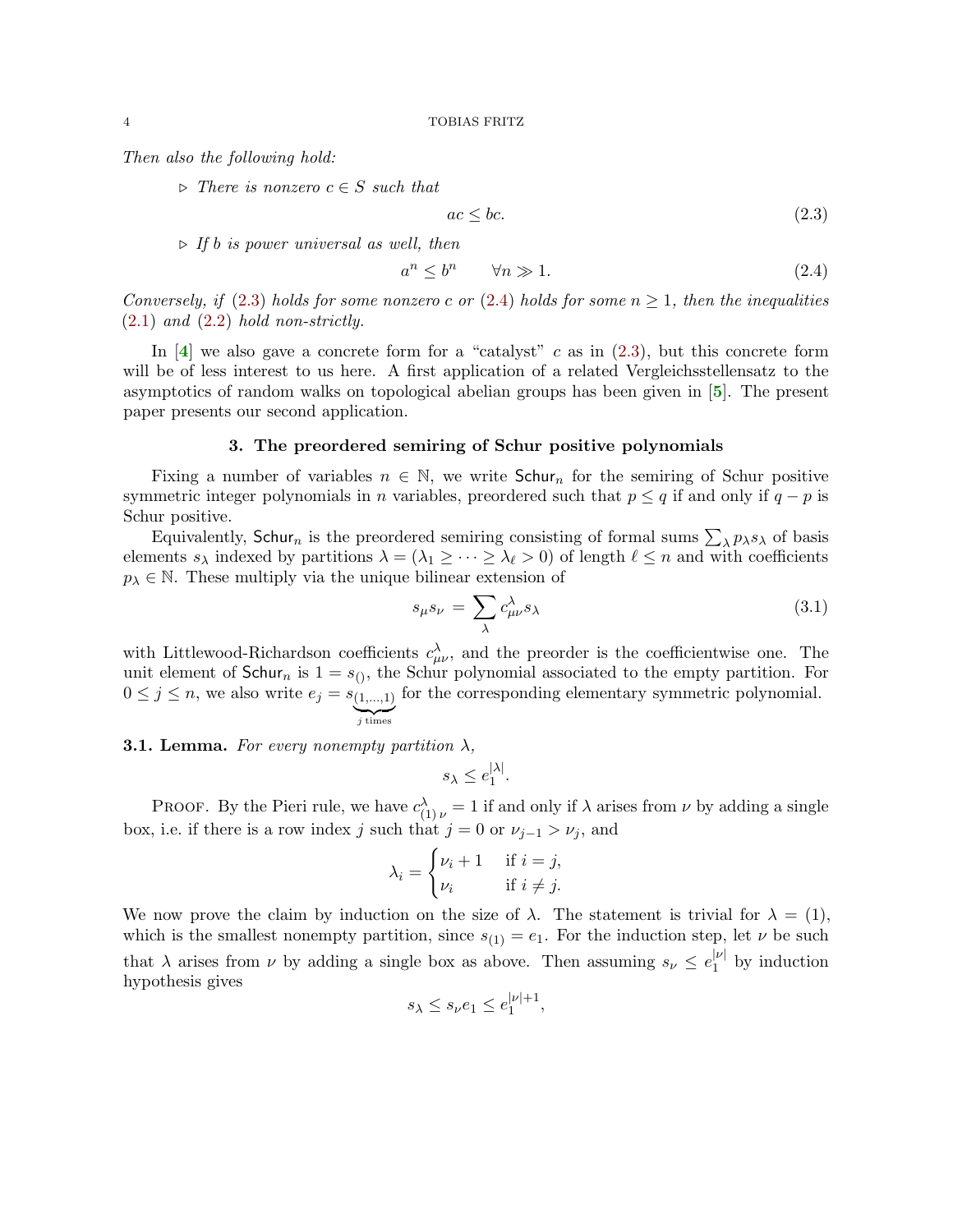<span id="page-3-5"></span>*Then also the following hold:*

 $\triangleright$  *There is nonzero*  $c \in S$  *such that* 

<span id="page-3-1"></span>
$$
ac \le bc. \tag{2.3}
$$

⊲ *If* b *is power universal as well, then*

<span id="page-3-2"></span>
$$
a^n \le b^n \qquad \forall n \gg 1. \tag{2.4}
$$

*Conversely, if* [\(2.3\)](#page-3-1) *holds for some nonzero* c *or* [\(2.4\)](#page-3-2) *holds for some*  $n \geq 1$ *, then the inequalities* [\(2.1\)](#page-2-1) *and* [\(2.2\)](#page-2-2) *hold non-strictly.*

In  $[4]$  $[4]$  $[4]$  we also gave a concrete form for a "catalyst" c as in  $(2.3)$ , but this concrete form will be of less interest to us here. A first application of a related Vergleichsstellensatz to the asymptotics of random walks on topological abelian groups has been given in [[5](#page-10-2)]. The present paper presents our second application.

## 3. The preordered semiring of Schur positive polynomials

<span id="page-3-0"></span>Fixing a number of variables  $n \in \mathbb{N}$ , we write Schurn for the semiring of Schur positive symmetric integer polynomials in n variables, preordered such that  $p \leq q$  if and only if  $q - p$  is Schur positive.

Equivalently, Schur<sub>n</sub> is the preordered semiring consisting of formal sums  $\sum_{\lambda} p_{\lambda} s_{\lambda}$  of basis elements  $s_\lambda$  indexed by partitions  $\lambda = (\lambda_1 \geq \cdots \geq \lambda_\ell > 0)$  of length  $\ell \leq n$  and with coefficients  $p_{\lambda} \in \mathbb{N}$ . These multiply via the unique bilinear extension of

<span id="page-3-3"></span>
$$
s_{\mu}s_{\nu} = \sum_{\lambda} c^{\lambda}_{\mu\nu} s_{\lambda} \tag{3.1}
$$

with Littlewood-Richardson coefficients  $c^{\lambda}_{\mu\nu}$ , and the preorder is the coefficientwise one. The unit element of Schur<sub>n</sub> is  $1 = s_{(1)}$ , the Schur polynomial associated to the empty partition. For  $0 \leq j \leq n$ , we also write  $e_j = s_{(1,...,1)}$  $j$  times for the corresponding elementary symmetric polynomial.

<span id="page-3-4"></span>**3.1. Lemma.** For every nonempty partition  $\lambda$ ,

 $s_\lambda\leq e_{1}^{|\lambda|}$  $\frac{|\lambda|}{1}$ .

PROOF. By the Pieri rule, we have  $c_{(1)\nu}^{\lambda} = 1$  if and only if  $\lambda$  arises from  $\nu$  by adding a single box, i.e. if there is a row index j such that  $j = 0$  or  $\nu_{j-1} > \nu_j$ , and

$$
\lambda_i = \begin{cases} \nu_i + 1 & \text{if } i = j, \\ \nu_i & \text{if } i \neq j. \end{cases}
$$

We now prove the claim by induction on the size of  $\lambda$ . The statement is trivial for  $\lambda = (1)$ , which is the smallest nonempty partition, since  $s_{(1)} = e_1$ . For the induction step, let  $\nu$  be such that  $\lambda$  arises from  $\nu$  by adding a single box as above. Then assuming  $s_{\nu} \leq e_1^{|\nu|}$  $j^{\nu}$  by induction hypothesis gives

$$
s_{\lambda} \le s_{\nu} e_1 \le e_1^{|\nu|+1},
$$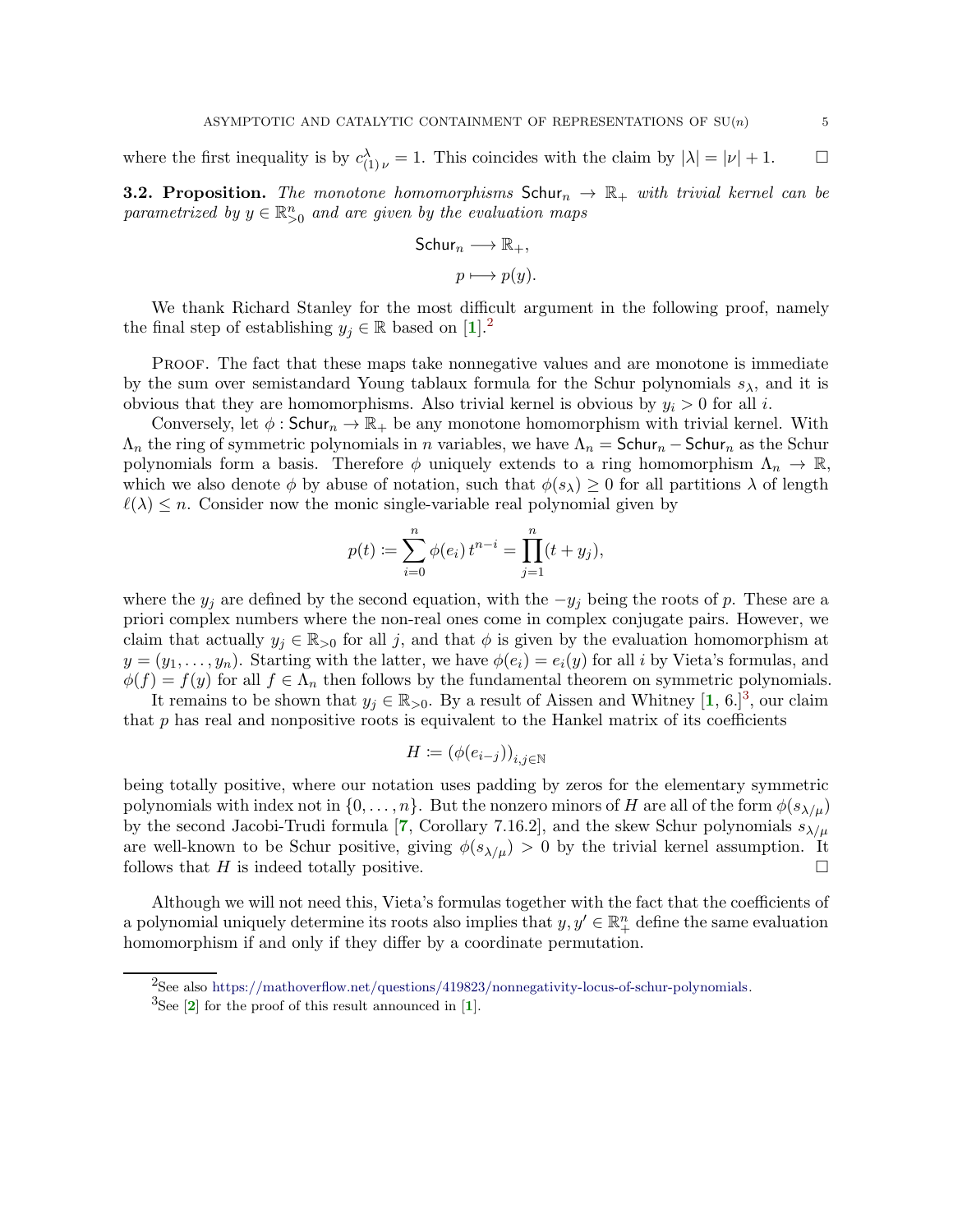<span id="page-4-4"></span>where the first inequality is by  $c_{(1) \nu}^{\lambda} = 1$ . This coincides with the claim by  $|\lambda| = |\nu| + 1$ .  $\Box$ 

<span id="page-4-0"></span>**3.2. Proposition.** The monotone homomorphisms  $Schur_n \to \mathbb{R}_+$  with trivial kernel can be *parametrized by*  $y \in \mathbb{R}^n_{>0}$  *and are given by the evaluation maps* 

Schur<sub>n</sub> 
$$
\longrightarrow \mathbb{R}_+,
$$
  
 $p \longmapsto p(y).$ 

We thank Richard Stanley for the most difficult argument in the following proof, namely the final step of establishing  $y_j \in \mathbb{R}$  based on [[1](#page-10-3)].<sup>[2](#page-4-2)</sup>

PROOF. The fact that these maps take nonnegative values and are monotone is immediate by the sum over semistandard Young tablaux formula for the Schur polynomials  $s_{\lambda}$ , and it is obvious that they are homomorphisms. Also trivial kernel is obvious by  $y_i > 0$  for all i.

Conversely, let  $\phi$ : Schur<sub>n</sub>  $\rightarrow \mathbb{R}_+$  be any monotone homomorphism with trivial kernel. With  $\Lambda_n$  the ring of symmetric polynomials in n variables, we have  $\Lambda_n = \mathsf{Schur}_n - \mathsf{Schur}_n$  as the Schur polynomials form a basis. Therefore  $\phi$  uniquely extends to a ring homomorphism  $\Lambda_n \to \mathbb{R}$ , which we also denote  $\phi$  by abuse of notation, such that  $\phi(s_\lambda) \geq 0$  for all partitions  $\lambda$  of length  $\ell(\lambda) \leq n$ . Consider now the monic single-variable real polynomial given by

$$
p(t) := \sum_{i=0}^{n} \phi(e_i) t^{n-i} = \prod_{j=1}^{n} (t + y_j),
$$

where the  $y_j$  are defined by the second equation, with the  $-y_j$  being the roots of p. These are a priori complex numbers where the non-real ones come in complex conjugate pairs. However, we claim that actually  $y_j \in \mathbb{R}_{>0}$  for all j, and that  $\phi$  is given by the evaluation homomorphism at  $y = (y_1, \ldots, y_n)$ . Starting with the latter, we have  $\phi(e_i) = e_i(y)$  for all i by Vieta's formulas, and  $\phi(f) = f(y)$  for all  $f \in \Lambda_n$  then follows by the fundamental theorem on symmetric polynomials.

It remains to be shown that  $y_j \in \mathbb{R}_{>0}$ . By a result of Aissen and Whitney  $[1, 6.]^3$  $[1, 6.]^3$  $[1, 6.]^3$  $[1, 6.]^3$ , our claim that  $p$  has real and nonpositive roots is equivalent to the Hankel matrix of its coefficients

$$
H \coloneqq \left(\phi(e_{i-j})\right)_{i,j\in\mathbb{N}}
$$

being totally positive, where our notation uses padding by zeros for the elementary symmetric polynomials with index not in  $\{0,\ldots,n\}$ . But the nonzero minors of H are all of the form  $\phi(s_{\lambda/\mu})$ by the second Jacobi-Trudi formula [[7](#page-10-4), Corollary 7.16.2], and the skew Schur polynomials  $s_{\lambda/\mu}$ are well-known to be Schur positive, giving  $\phi(s_{\lambda/\mu}) > 0$  by the trivial kernel assumption. It follows that H is indeed totally positive.

<span id="page-4-1"></span>Although we will not need this, Vieta's formulas together with the fact that the coefficients of a polynomial uniquely determine its roots also implies that  $y, y' \in \mathbb{R}^n_+$  define the same evaluation homomorphism if and only if they differ by a coordinate permutation.

 $^{2}$ See also [https://mathoverflow.net/questions/419823/nonnegativity-locus-of-schur-polynomials.](https://mathoverflow.net/questions/419823/nonnegativity-locus-of-schur-polynomials)

<span id="page-4-3"></span><span id="page-4-2"></span> ${}^{3}$ See [[2](#page-10-5)] for the proof of this result announced in [[1](#page-10-3)].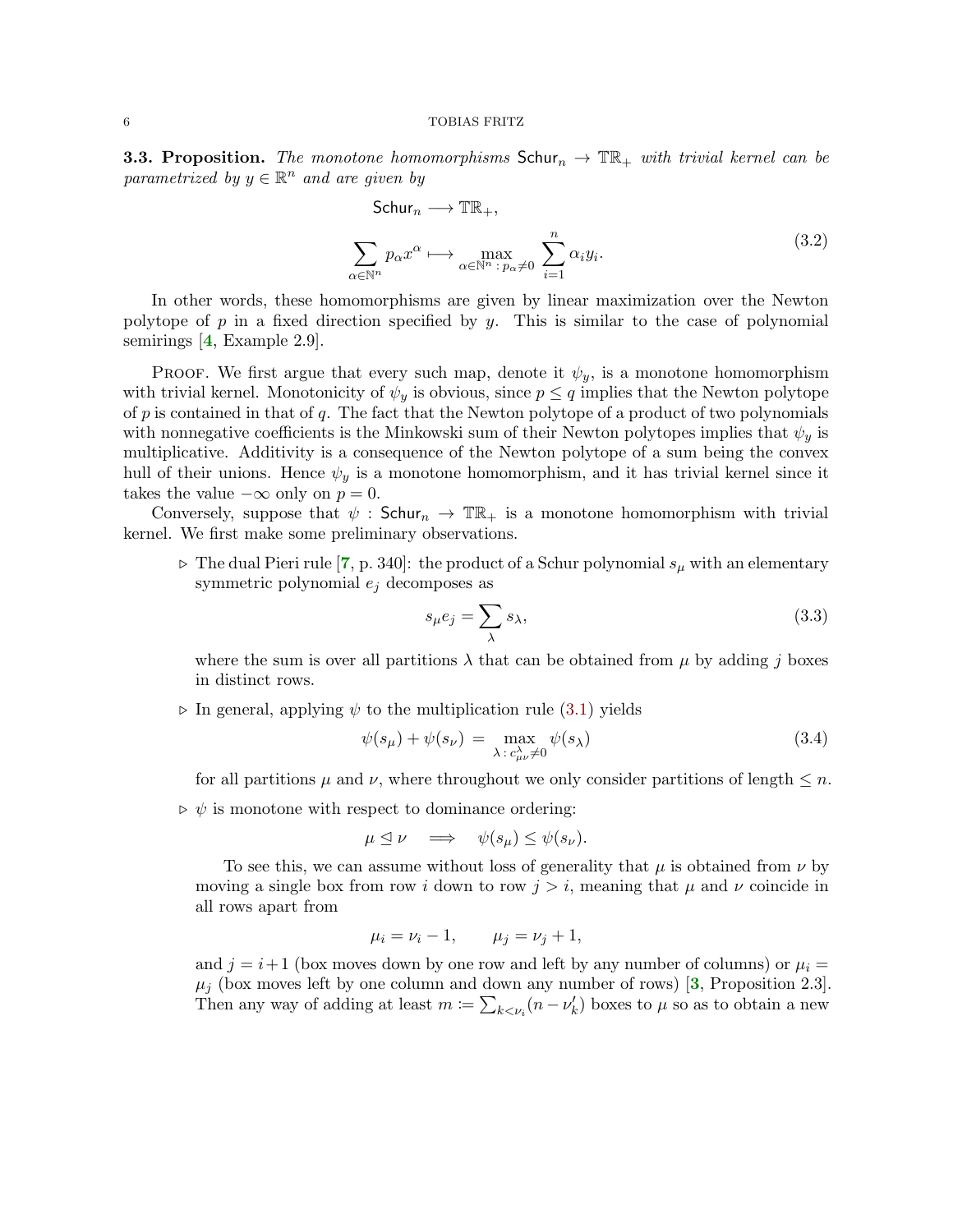<span id="page-5-2"></span>**3.3. Proposition.** The monotone homomorphisms  $Schur_n \to \mathbb{T} \mathbb{R}_+$  with trivial kernel can be  $parameterized by y \in \mathbb{R}^n$  *and are given by* 

<span id="page-5-1"></span>Schur<sub>n</sub> 
$$
\longrightarrow
$$
  $\mathbb{TR}_+,$   

$$
\sum_{\alpha \in \mathbb{N}^n} p_{\alpha} x^{\alpha} \longmapsto \max_{\alpha \in \mathbb{N}^n \; : \; p_{\alpha} \neq 0} \; \sum_{i=1}^n \alpha_i y_i.
$$
 (3.2)

In other words, these homomorphisms are given by linear maximization over the Newton polytope of p in a fixed direction specified by y. This is similar to the case of polynomial semirings [[4](#page-10-1), Example 2.9].

PROOF. We first argue that every such map, denote it  $\psi_y$ , is a monotone homomorphism with trivial kernel. Monotonicity of  $\psi_y$  is obvious, since  $p \leq q$  implies that the Newton polytope of  $p$  is contained in that of  $q$ . The fact that the Newton polytope of a product of two polynomials with nonnegative coefficients is the Minkowski sum of their Newton polytopes implies that  $\psi_y$  is multiplicative. Additivity is a consequence of the Newton polytope of a sum being the convex hull of their unions. Hence  $\psi_y$  is a monotone homomorphism, and it has trivial kernel since it takes the value  $-\infty$  only on  $p = 0$ .

Conversely, suppose that  $\psi$  : Schur<sub>n</sub>  $\rightarrow \mathbb{TR}_{+}$  is a monotone homomorphism with trivial kernel. We first make some preliminary observations.

 $\triangleright$  The dual Pieri rule [[7](#page-10-4), p. 340]: the product of a Schur polynomial  $s_\mu$  with an elementary symmetric polynomial  $e_i$  decomposes as

<span id="page-5-0"></span>
$$
s_{\mu}e_j = \sum_{\lambda} s_{\lambda},\tag{3.3}
$$

where the sum is over all partitions  $\lambda$  that can be obtained from  $\mu$  by adding j boxes in distinct rows.

 $\triangleright$  In general, applying  $\psi$  to the multiplication rule  $(3.1)$  yields

$$
\psi(s_{\mu}) + \psi(s_{\nu}) = \max_{\lambda \, : \, c_{\mu\nu}^{\lambda} \neq 0} \psi(s_{\lambda}) \tag{3.4}
$$

for all partitions  $\mu$  and  $\nu$ , where throughout we only consider partitions of length  $\leq n$ .

 $\rho \phi$  is monotone with respect to dominance ordering:

$$
\mu \leq \nu \quad \Longrightarrow \quad \psi(s_{\mu}) \leq \psi(s_{\nu}).
$$

To see this, we can assume without loss of generality that  $\mu$  is obtained from  $\nu$  by moving a single box from row i down to row  $j > i$ , meaning that  $\mu$  and  $\nu$  coincide in all rows apart from

$$
\mu_i = \nu_i - 1, \qquad \mu_j = \nu_j + 1,
$$

and  $j = i + 1$  (box moves down by one row and left by any number of columns) or  $\mu_i =$  $\mu_j$  (box moves left by one column and down any number of rows) [[3](#page-10-6), Proposition 2.3]. Then any way of adding at least  $m := \sum_{k \leq v_i} (n - v'_k)$  boxes to  $\mu$  so as to obtain a new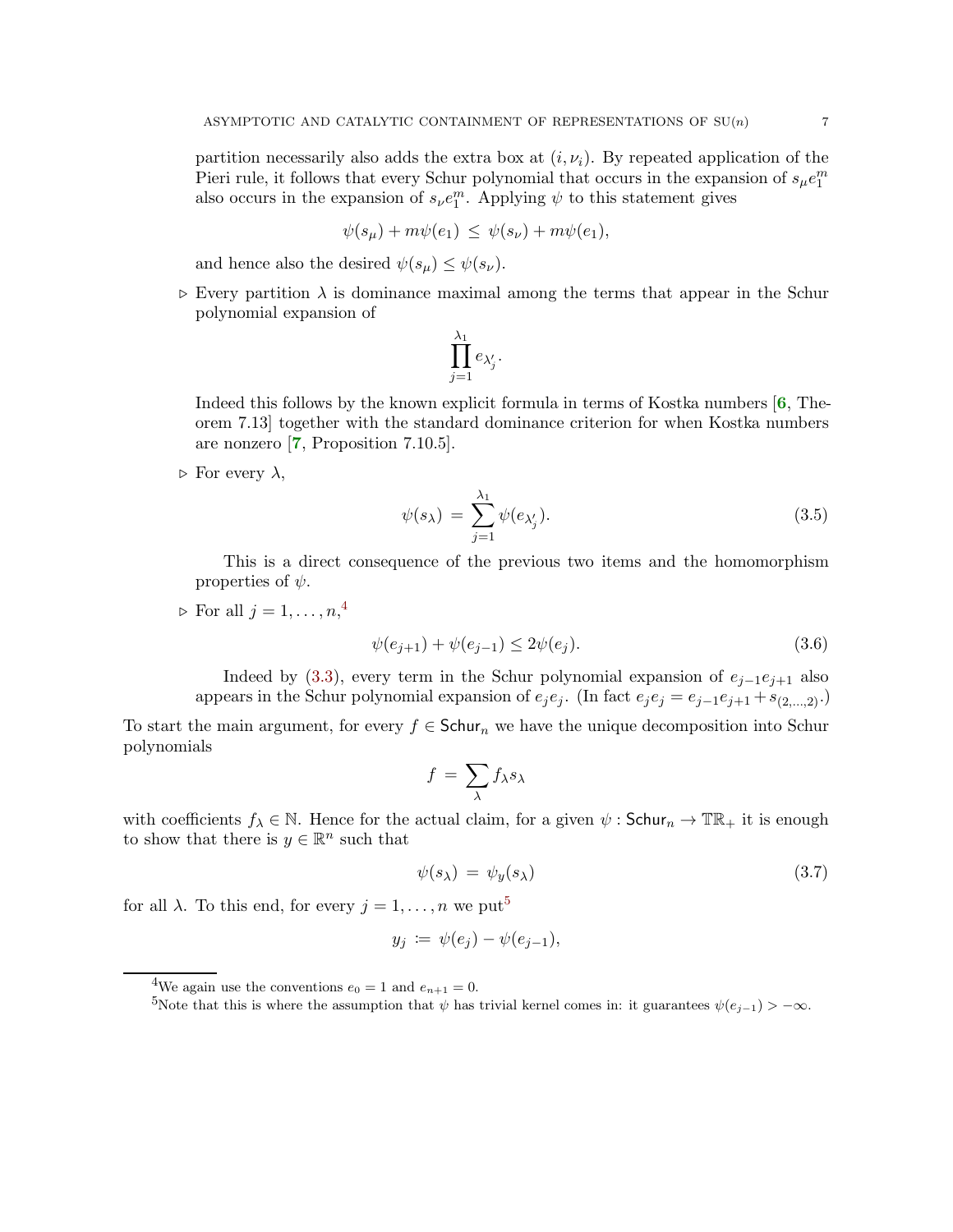<span id="page-6-5"></span>partition necessarily also adds the extra box at  $(i, \nu_i)$ . By repeated application of the Pieri rule, it follows that every Schur polynomial that occurs in the expansion of  $s_{\mu}e_{1}^{m}$ also occurs in the expansion of  $s_{\nu}e_1^m$ . Applying  $\psi$  to this statement gives

$$
\psi(s_{\mu}) + m\psi(e_1) \leq \psi(s_{\nu}) + m\psi(e_1),
$$

and hence also the desired  $\psi(s_\mu) \leq \psi(s_\nu)$ .

 $\triangleright$  Every partition  $\lambda$  is dominance maximal among the terms that appear in the Schur polynomial expansion of

$$
\prod_{j=1}^{\lambda_1} e_{\lambda'_j}.
$$

Indeed this follows by the known explicit formula in terms of Kostka numbers  $[6,$  $[6,$  $[6,$  Theorem 7.13] together with the standard dominance criterion for when Kostka numbers are nonzero [[7](#page-10-4), Proposition 7.10.5].

 $\triangleright$  For every  $\lambda$ ,

<span id="page-6-3"></span>
$$
\psi(s_{\lambda}) = \sum_{j=1}^{\lambda_1} \psi(e_{\lambda'_j}). \tag{3.5}
$$

This is a direct consequence of the previous two items and the homomorphism properties of  $\psi$ .

 $\triangleright$  For all  $j=1,\ldots,n,$ <sup>[4](#page-6-0)</sup>

<span id="page-6-2"></span>
$$
\psi(e_{j+1}) + \psi(e_{j-1}) \le 2\psi(e_j). \tag{3.6}
$$

Indeed by [\(3.3\)](#page-5-0), every term in the Schur polynomial expansion of  $e_{i-1}e_{i+1}$  also appears in the Schur polynomial expansion of  $e_j e_j$ . (In fact  $e_j e_j = e_{j-1} e_{j+1} + s_{(2,\ldots,2)}$ .)

To start the main argument, for every  $f \in Schur_n$  we have the unique decomposition into Schur polynomials

$$
f = \sum_{\lambda} f_{\lambda} s_{\lambda}
$$

with coefficients  $f_{\lambda} \in \mathbb{N}$ . Hence for the actual claim, for a given  $\psi : \mathsf{Schur}_n \to \mathbb{TR}_+$  it is enough to show that there is  $y \in \mathbb{R}^n$  such that

<span id="page-6-4"></span>
$$
\psi(s_{\lambda}) = \psi_y(s_{\lambda}) \tag{3.7}
$$

for all  $\lambda$ . To this end, for every  $j = 1, \ldots, n$  we put<sup>[5](#page-6-1)</sup>

$$
y_j := \psi(e_j) - \psi(e_{j-1}),
$$

<sup>&</sup>lt;sup>4</sup>We again use the conventions  $e_0 = 1$  and  $e_{n+1} = 0$ .

<span id="page-6-1"></span><span id="page-6-0"></span><sup>5</sup>Note that this is where the assumption that  $\psi$  has trivial kernel comes in: it guarantees  $\psi(e_{j-1}) > -\infty$ .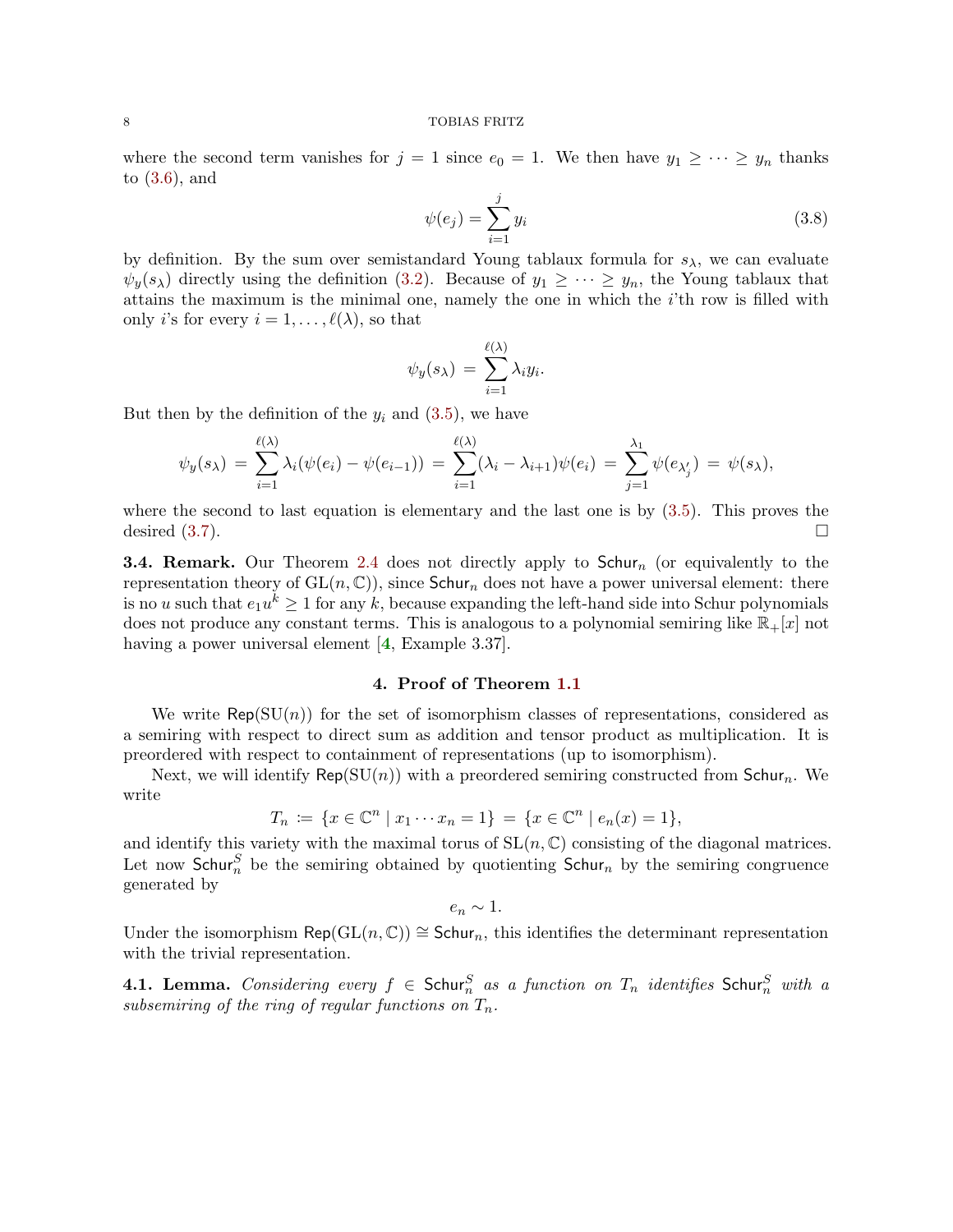<span id="page-7-1"></span>where the second term vanishes for  $j = 1$  since  $e_0 = 1$ . We then have  $y_1 \geq \cdots \geq y_n$  thanks to [\(3.6\)](#page-6-2), and

$$
\psi(e_j) = \sum_{i=1}^j y_i \tag{3.8}
$$

by definition. By the sum over semistandard Young tablaux formula for  $s_{\lambda}$ , we can evaluate  $\psi_y(s_\lambda)$  directly using the definition [\(3.2\)](#page-5-1). Because of  $y_1 \geq \cdots \geq y_n$ , the Young tablaux that attains the maximum is the minimal one, namely the one in which the i'th row is filled with only *i*'s for every  $i = 1, \ldots, \ell(\lambda)$ , so that

$$
\psi_y(s_\lambda) = \sum_{i=1}^{\ell(\lambda)} \lambda_i y_i.
$$

But then by the definition of the  $y_i$  and  $(3.5)$ , we have

$$
\psi_y(s_\lambda) = \sum_{i=1}^{\ell(\lambda)} \lambda_i(\psi(e_i) - \psi(e_{i-1})) = \sum_{i=1}^{\ell(\lambda)} (\lambda_i - \lambda_{i+1})\psi(e_i) = \sum_{j=1}^{\lambda_1} \psi(e_{\lambda'_j}) = \psi(s_\lambda),
$$

where the second to last equation is elementary and the last one is by [\(3.5\)](#page-6-3). This proves the desired  $(3.7)$ .

**3.4. Remark.** Our Theorem [2.4](#page-2-3) does not directly apply to  $Schur_n$  (or equivalently to the representation theory of  $GL(n, \mathbb{C})$ , since  $Schur_n$  does not have a power universal element: there is no u such that  $e_1u^k \geq 1$  for any k, because expanding the left-hand side into Schur polynomials does not produce any constant terms. This is analogous to a polynomial semiring like  $\mathbb{R}_+[x]$  not having a power universal element [[4](#page-10-1), Example 3.37].

# 4. Proof of Theorem [1.1](#page-0-1)

<span id="page-7-0"></span>We write  $\mathsf{Rep}(\mathrm{SU}(n))$  for the set of isomorphism classes of representations, considered as a semiring with respect to direct sum as addition and tensor product as multiplication. It is preordered with respect to containment of representations (up to isomorphism).

Next, we will identify  $\mathsf{Rep}(\mathrm{SU}(n))$  with a preordered semiring constructed from  $\mathsf{Schur}_n$ . We write

$$
T_n := \{ x \in \mathbb{C}^n \mid x_1 \cdots x_n = 1 \} = \{ x \in \mathbb{C}^n \mid e_n(x) = 1 \},
$$

and identify this variety with the maximal torus of  $SL(n, \mathbb{C})$  consisting of the diagonal matrices. Let now Schur<sub>n</sub><sup>S</sup> be the semiring obtained by quotienting Schur<sub>n</sub> by the semiring congruence generated by

$$
e_n \sim 1.
$$

Under the isomorphism Rep(GL(n,  $\mathbb{C}$ ))  $\cong$  Schur<sub>n</sub>, this identifies the determinant representation with the trivial representation.

4.1. Lemma. *Considering every*  $f \in$  Schur $_n^S$  *as a function on*  $T_n$  *identifies* Schur $_n^S$  *with a subsemiring of the ring of regular functions on*  $T_n$ .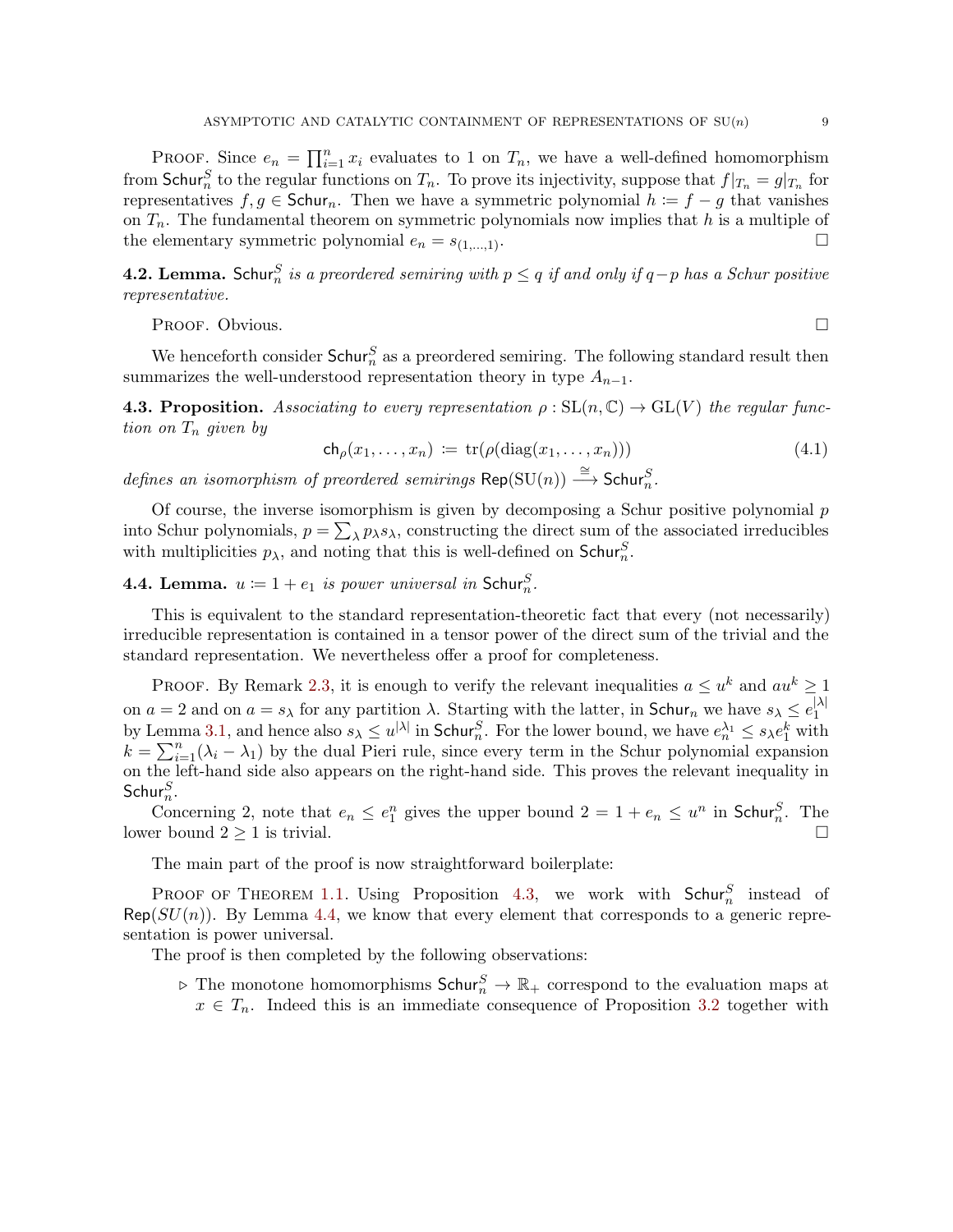PROOF. Since  $e_n = \prod_{i=1}^n x_i$  evaluates to 1 on  $T_n$ , we have a well-defined homomorphism from Schur<sup>S</sup> to the regular functions on  $T_n$ . To prove its injectivity, suppose that  $f|_{T_n} = g|_{T_n}$  for representatives  $f, g \in Schur_n$ . Then we have a symmetric polynomial  $h := f - g$  that vanishes on  $T_n$ . The fundamental theorem on symmetric polynomials now implies that h is a multiple of the elementary symmetric polynomial  $e_n = s_{(1,...,1)}$ .

**4.2. Lemma.** Schur<sup>S</sup> is a preordered semiring with  $p ≤ q$  if and only if  $q-p$  has a Schur positive *representative.*

Proof. Obvious.

<span id="page-8-0"></span>We henceforth consider  $Schur_n^S$  as a preordered semiring. The following standard result then summarizes the well-understood representation theory in type  $A_{n-1}$ .

**4.3. Proposition.** Associating to every representation  $\rho : SL(n, \mathbb{C}) \to GL(V)$  the regular func*tion on*  $T_n$  *given by* 

$$
\mathsf{ch}_{\rho}(x_1,\ldots,x_n) \coloneqq \operatorname{tr}(\rho(\operatorname{diag}(x_1,\ldots,x_n))) \tag{4.1}
$$

 $defines$  an isomorphism of preordered semirings  $\mathsf{Rep}(\mathrm{SU}(n)) \stackrel{\cong}{\longrightarrow} \mathsf{Schur}_n^S$ .

Of course, the inverse isomorphism is given by decomposing a Schur positive polynomial  $p$ into Schur polynomials,  $p = \sum_{\lambda} p_{\lambda} s_{\lambda}$ , constructing the direct sum of the associated irreducibles with multiplicities  $p_{\lambda}$ , and noting that this is well-defined on  $\mathsf{Schur}_n^S$ .

<span id="page-8-1"></span>**4.4. Lemma.**  $u \coloneqq 1 + e_1$  is power universal in Schur<sub>n</sub>.

This is equivalent to the standard representation-theoretic fact that every (not necessarily) irreducible representation is contained in a tensor power of the direct sum of the trivial and the standard representation. We nevertheless offer a proof for completeness.

PROOF. By Remark [2.3,](#page-2-4) it is enough to verify the relevant inequalities  $a \leq u^k$  and  $au^k \geq 1$ on  $a = 2$  and on  $a = s_\lambda$  for any partition  $\lambda$ . Starting with the latter, in Schur<sub>n</sub> we have  $s_\lambda \leq e_1^{|\lambda|}$ 1 by Lemma [3.1,](#page-3-4) and hence also  $s_\lambda \leq u^{|\lambda|}$  in Schur<sub>n</sub>. For the lower bound, we have  $e_n^{\lambda_1} \leq s_\lambda e_1^k$  with  $k = \sum_{i=1}^{n} (\lambda_i - \lambda_1)$  by the dual Pieri rule, since every term in the Schur polynomial expansion on the left-hand side also appears on the right-hand side. This proves the relevant inequality in  $\mathsf{Schur}^S_n$ .

Concerning 2, note that  $e_n \n\t\leq e_1^n$  gives the upper bound  $2 = 1 + e_n \n\t\leq u^n$  in Schur<sub>n</sub>. The lower bound  $2 \geq 1$  is trivial.

The main part of the proof is now straightforward boilerplate:

PROOF OF THEOREM [1.1.](#page-0-1) Using Proposition [4.3,](#page-8-0) we work with  $Schur_n^S$  instead of  $\mathsf{Rep}(SU(n)).$  By Lemma [4.4,](#page-8-1) we know that every element that corresponds to a generic representation is power universal.

The proof is then completed by the following observations:

 $\triangleright$  The monotone homomorphisms  $Schur_n^S \to \mathbb{R}_+$  correspond to the evaluation maps at  $x \in T_n$ . Indeed this is an immediate consequence of Proposition [3.2](#page-4-0) together with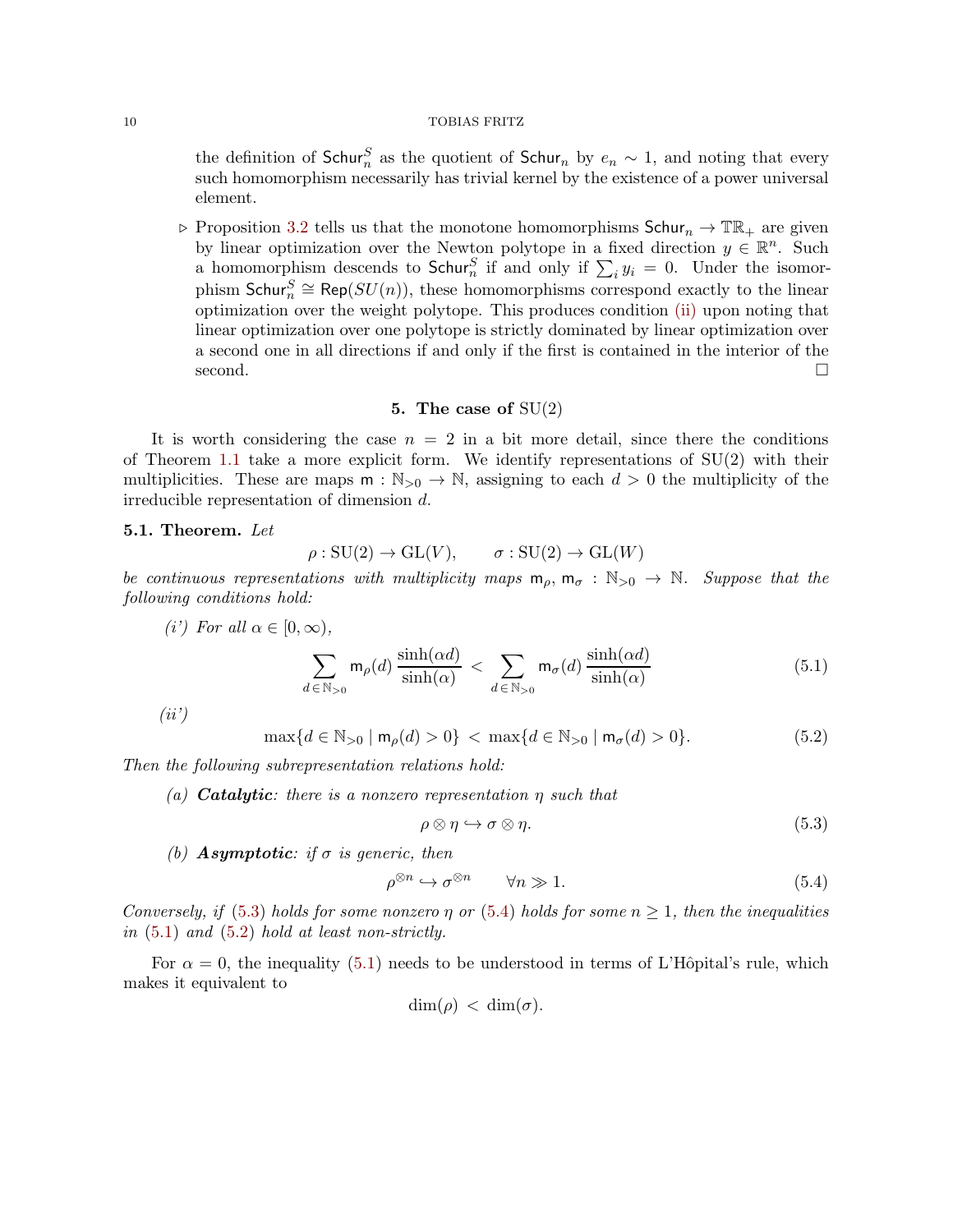the definition of  $Schur_n^S$  as the quotient of  $Schur_n$  by  $e_n \sim 1$ , and noting that every such homomorphism necessarily has trivial kernel by the existence of a power universal element.

 $\triangleright$  Proposition [3.2](#page-4-0) tells us that the monotone homomorphisms Schur<sub>n</sub>  $\rightarrow \mathbb{TR}_{+}$  are given by linear optimization over the Newton polytope in a fixed direction  $y \in \mathbb{R}^n$ . Such a homomorphism descends to  $\textsf{Schur}_n^S$  if and only if  $\sum_i y_i = 0$ . Under the isomorphism  $\mathsf{Schur}_n^S \cong \mathsf{Rep}(SU(n)),$  these homomorphisms correspond exactly to the linear optimization over the weight polytope. This produces condition [\(ii\)](#page-1-4) upon noting that linear optimization over one polytope is strictly dominated by linear optimization over a second one in all directions if and only if the first is contained in the interior of the second.

## 5. The case of  $SU(2)$

<span id="page-9-0"></span>It is worth considering the case  $n = 2$  in a bit more detail, since there the conditions of Theorem [1.1](#page-0-1) take a more explicit form. We identify representations of  $SU(2)$  with their multiplicities. These are maps  $m : \mathbb{N}_{\geq 0} \to \mathbb{N}$ , assigning to each  $d > 0$  the multiplicity of the irreducible representation of dimension d.

# <span id="page-9-1"></span>5.1. Theorem. *Let*

$$
\rho: SU(2) \to GL(V), \qquad \sigma: SU(2) \to GL(W)
$$

<span id="page-9-6"></span>*be continuous representations with multiplicity maps*  $m_{\rho}$ ,  $m_{\sigma}$ :  $\mathbb{N}_{>0}$   $\rightarrow$   $\mathbb{N}$ *. Suppose that the following conditions hold:*

$$
(i') \text{ For all } \alpha \in [0, \infty),
$$

<span id="page-9-4"></span>
$$
\sum_{d \in \mathbb{N}_{>0}} \mathsf{m}_{\rho}(d) \frac{\sinh(\alpha d)}{\sinh(\alpha)} < \sum_{d \in \mathbb{N}_{>0}} \mathsf{m}_{\sigma}(d) \frac{\sinh(\alpha d)}{\sinh(\alpha)} \tag{5.1}
$$

<span id="page-9-7"></span>*(ii')*

<span id="page-9-5"></span>
$$
\max\{d \in \mathbb{N}_{>0} \mid \mathsf{m}_{\rho}(d) > 0\} < \max\{d \in \mathbb{N}_{>0} \mid \mathsf{m}_{\sigma}(d) > 0\}.\tag{5.2}
$$

*Then the following subrepresentation relations hold:*

*(a)* Catalytic*: there is a nonzero representation* η *such that*

<span id="page-9-2"></span>
$$
\rho \otimes \eta \hookrightarrow \sigma \otimes \eta. \tag{5.3}
$$

*(b)* Asymptotic*: if* σ *is generic, then*

<span id="page-9-3"></span>
$$
\rho^{\otimes n} \hookrightarrow \sigma^{\otimes n} \qquad \forall n \gg 1. \tag{5.4}
$$

*Conversely, if* [\(5.3\)](#page-9-2) *holds for some nonzero*  $\eta$  *or* [\(5.4\)](#page-9-3) *holds for some*  $n \geq 1$ *, then the inequalities in* [\(5.1\)](#page-9-4) *and* [\(5.2\)](#page-9-5) *hold at least non-strictly.*

For  $\alpha = 0$ , the inequality [\(5.1\)](#page-9-4) needs to be understood in terms of L'Hôpital's rule, which makes it equivalent to

$$
\dim(\rho) < \dim(\sigma).
$$